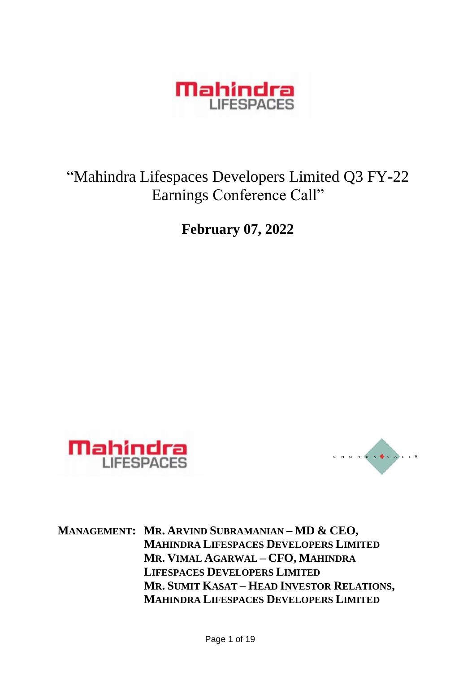

# "Mahindra Lifespaces Developers Limited Q3 FY-22 Earnings Conference Call"

**February 07, 2022**





**MANAGEMENT: MR. ARVIND SUBRAMANIAN – MD & CEO, MAHINDRA LIFESPACES DEVELOPERS LIMITED MR. VIMAL AGARWAL – CFO, MAHINDRA LIFESPACES DEVELOPERS LIMITED MR. SUMIT KASAT – HEAD INVESTOR RELATIONS, MAHINDRA LIFESPACES DEVELOPERS LIMITED**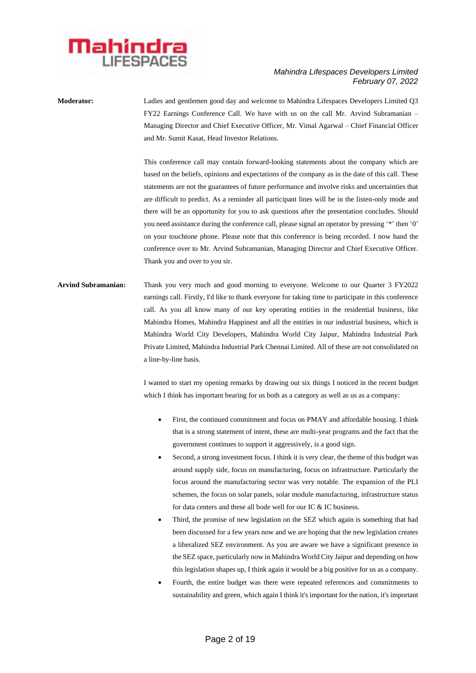

**Moderator:** Ladies and gentlemen good day and welcome to Mahindra Lifespaces Developers Limited Q3 FY22 Earnings Conference Call. We have with us on the call Mr. Arvind Subramanian – Managing Director and Chief Executive Officer, Mr. Vimal Agarwal – Chief Financial Officer and Mr. Sumit Kasat, Head Investor Relations.

> This conference call may contain forward-looking statements about the company which are based on the beliefs, opinions and expectations of the company as in the date of this call. These statements are not the guarantees of future performance and involve risks and uncertainties that are difficult to predict. As a reminder all participant lines will be in the listen-only mode and there will be an opportunity for you to ask questions after the presentation concludes. Should you need assistance during the conference call, please signal an operator by pressing '\*' then '0' on your touchtone phone. Please note that this conference is being recorded. I now hand the conference over to Mr. Arvind Subramanian, Managing Director and Chief Executive Officer. Thank you and over to you sir.

**Arvind Subramanian:** Thank you very much and good morning to everyone. Welcome to our Quarter 3 FY2022 earnings call. Firstly, I'd like to thank everyone for taking time to participate in this conference call. As you all know many of our key operating entities in the residential business, like Mahindra Homes, Mahindra Happinest and all the entities in our industrial business, which is Mahindra World City Developers, Mahindra World City Jaipur, Mahindra Industrial Park Private Limited, Mahindra Industrial Park Chennai Limited. All of these are not consolidated on a line-by-line basis.

> I wanted to start my opening remarks by drawing out six things I noticed in the recent budget which I think has important bearing for us both as a category as well as us as a company:

- First, the continued commitment and focus on PMAY and affordable housing. I think that is a strong statement of intent, these are multi-year programs and the fact that the government continues to support it aggressively, is a good sign.
- Second, a strong investment focus. I think it is very clear, the theme of this budget was around supply side, focus on manufacturing, focus on infrastructure. Particularly the focus around the manufacturing sector was very notable. The expansion of the PLI schemes, the focus on solar panels, solar module manufacturing, infrastructure status for data centers and these all bode well for our IC & IC business.
- Third, the promise of new legislation on the SEZ which again is something that had been discussed for a few years now and we are hoping that the new legislation creates a liberalized SEZ environment. As you are aware we have a significant presence in the SEZ space, particularly now in Mahindra World City Jaipur and depending on how this legislation shapes up, I think again it would be a big positive for us as a company.
- Fourth, the entire budget was there were repeated references and commitments to sustainability and green, which again I think it's important for the nation, it's important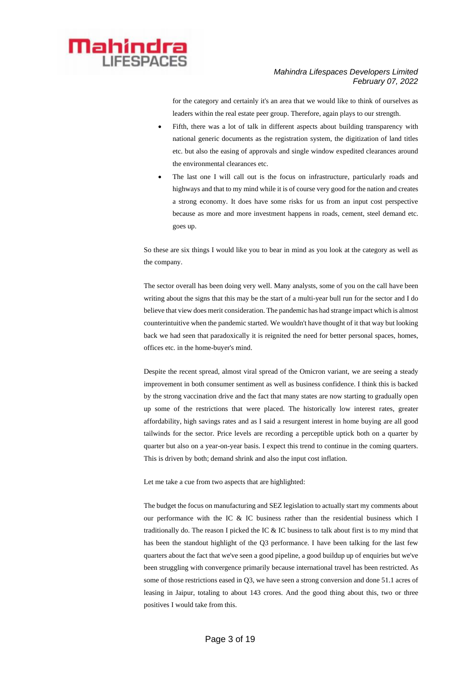

for the category and certainly it's an area that we would like to think of ourselves as leaders within the real estate peer group. Therefore, again plays to our strength.

- Fifth, there was a lot of talk in different aspects about building transparency with national generic documents as the registration system, the digitization of land titles etc. but also the easing of approvals and single window expedited clearances around the environmental clearances etc.
- The last one I will call out is the focus on infrastructure, particularly roads and highways and that to my mind while it is of course very good for the nation and creates a strong economy. It does have some risks for us from an input cost perspective because as more and more investment happens in roads, cement, steel demand etc. goes up.

So these are six things I would like you to bear in mind as you look at the category as well as the company.

The sector overall has been doing very well. Many analysts, some of you on the call have been writing about the signs that this may be the start of a multi-year bull run for the sector and I do believe that view does merit consideration. The pandemic has had strange impact which is almost counterintuitive when the pandemic started. We wouldn't have thought of it that way but looking back we had seen that paradoxically it is reignited the need for better personal spaces, homes, offices etc. in the home-buyer's mind.

Despite the recent spread, almost viral spread of the Omicron variant, we are seeing a steady improvement in both consumer sentiment as well as business confidence. I think this is backed by the strong vaccination drive and the fact that many states are now starting to gradually open up some of the restrictions that were placed. The historically low interest rates, greater affordability, high savings rates and as I said a resurgent interest in home buying are all good tailwinds for the sector. Price levels are recording a perceptible uptick both on a quarter by quarter but also on a year-on-year basis. I expect this trend to continue in the coming quarters. This is driven by both; demand shrink and also the input cost inflation.

Let me take a cue from two aspects that are highlighted:

The budget the focus on manufacturing and SEZ legislation to actually start my comments about our performance with the IC & IC business rather than the residential business which I traditionally do. The reason I picked the IC & IC business to talk about first is to my mind that has been the standout highlight of the Q3 performance. I have been talking for the last few quarters about the fact that we've seen a good pipeline, a good buildup up of enquiries but we've been struggling with convergence primarily because international travel has been restricted. As some of those restrictions eased in Q3, we have seen a strong conversion and done 51.1 acres of leasing in Jaipur, totaling to about 143 crores. And the good thing about this, two or three positives I would take from this.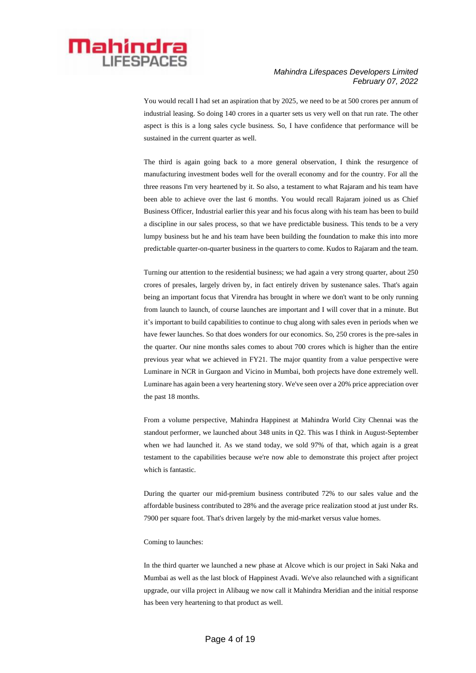

You would recall I had set an aspiration that by 2025, we need to be at 500 crores per annum of industrial leasing. So doing 140 crores in a quarter sets us very well on that run rate. The other aspect is this is a long sales cycle business. So, I have confidence that performance will be sustained in the current quarter as well.

The third is again going back to a more general observation, I think the resurgence of manufacturing investment bodes well for the overall economy and for the country. For all the three reasons I'm very heartened by it. So also, a testament to what Rajaram and his team have been able to achieve over the last 6 months. You would recall Rajaram joined us as Chief Business Officer, Industrial earlier this year and his focus along with his team has been to build a discipline in our sales process, so that we have predictable business. This tends to be a very lumpy business but he and his team have been building the foundation to make this into more predictable quarter-on-quarter business in the quarters to come. Kudos to Rajaram and the team.

Turning our attention to the residential business; we had again a very strong quarter, about 250 crores of presales, largely driven by, in fact entirely driven by sustenance sales. That's again being an important focus that Virendra has brought in where we don't want to be only running from launch to launch, of course launches are important and I will cover that in a minute. But it's important to build capabilities to continue to chug along with sales even in periods when we have fewer launches. So that does wonders for our economics. So, 250 crores is the pre-sales in the quarter. Our nine months sales comes to about 700 crores which is higher than the entire previous year what we achieved in FY21. The major quantity from a value perspective were Luminare in NCR in Gurgaon and Vicino in Mumbai, both projects have done extremely well. Luminare has again been a very heartening story. We've seen over a 20% price appreciation over the past 18 months.

From a volume perspective, Mahindra Happinest at Mahindra World City Chennai was the standout performer, we launched about 348 units in Q2. This was I think in August-September when we had launched it. As we stand today, we sold 97% of that, which again is a great testament to the capabilities because we're now able to demonstrate this project after project which is fantastic.

During the quarter our mid-premium business contributed 72% to our sales value and the affordable business contributed to 28% and the average price realization stood at just under Rs. 7900 per square foot. That's driven largely by the mid-market versus value homes.

#### Coming to launches:

In the third quarter we launched a new phase at Alcove which is our project in Saki Naka and Mumbai as well as the last block of Happinest Avadi. We've also relaunched with a significant upgrade, our villa project in Alibaug we now call it Mahindra Meridian and the initial response has been very heartening to that product as well.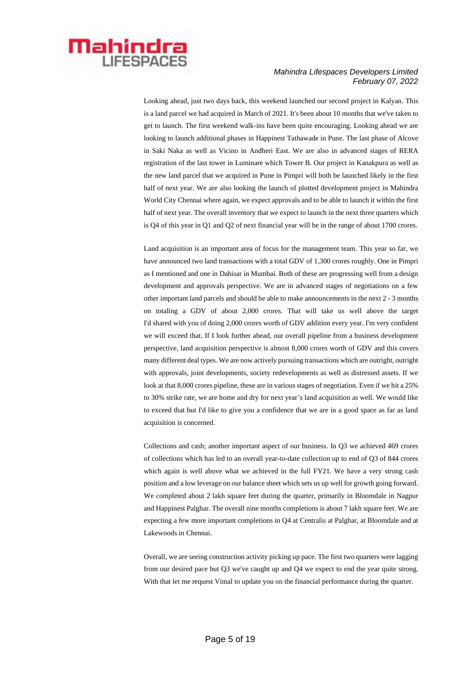

Looking ahead, just two days back, this weekend launched our second project in Kalyan. This is a land parcel we had acquired in March of 2021. It's been about 10 months that we've taken to get to launch. The first weekend walk-ins have been quite encouraging. Looking ahead we are looking to launch additional phases in Happinest Tathawade in Pune. The last phase of Alcove in Saki Naka as well as Vicino in Andheri East. We are also in advanced stages of RERA registration of the last tower in Luminare which Tower B. Our project in Kanakpura as well as the new land parcel that we acquired in Pune in Pimpri will both be launched likely in the first half of next year. We are also looking the launch of plotted development project in Mahindra World City Chennai where again, we expect approvals and to be able to launch it within the first half of next year. The overall inventory that we expect to launch in the next three quarters which is Q4 of this year in Q1 and Q2 of next financial year will be in the range of about 1700 crores.

Land acquisition is an important area of focus for the management team. This year so far, we have announced two land transactions with a total GDV of 1,300 crores roughly. One in Pimpri as I mentioned and one in Dahisar in Mumbai. Both of these are progressing well from a design development and approvals perspective. We are in advanced stages of negotiations on a few other important land parcels and should be able to make announcements in the next 2 - 3 months on totaling a GDV of about 2,000 crores. That will take us well above the target I'd shared with you of doing 2,000 crores worth of GDV addition every year. I'm very confident we will exceed that. If I look further ahead, our overall pipeline from a business development perspective, land acquisition perspective is almost 8,000 crores worth of GDV and this covers many different deal types. We are now actively pursuing transactions which are outright, outright with approvals, joint developments, society redevelopments as well as distressed assets. If we look at that 8,000 crores pipeline, these are in various stages of negotiation. Even if we hit a 25% to 30% strike rate, we are home and dry for next year's land acquisition as well. We would like to exceed that but I'd like to give you a confidence that we are in a good space as far as land acquisition is concerned.

Collections and cash; another important aspect of our business. In Q3 we achieved 469 crores of collections which has led to an overall year-to-date collection up to end of Q3 of 844 crores which again is well above what we achieved in the full FY21. We have a very strong cash position and a low leverage on our balance sheet which sets us up well for growth going forward. We completed about 2 lakh square feet during the quarter, primarily in Bloomdale in Nagpur and Happinest Palghar. The overall nine months completions is about 7 lakh square feet. We are expecting a few more important completions in Q4 at Centralis at Palghar, at Bloomdale and at Lakewoods in Chennai.

Overall, we are seeing construction activity picking up pace. The first two quarters were lagging from our desired pace but Q3 we've caught up and Q4 we expect to end the year quite strong. With that let me request Vimal to update you on the financial performance during the quarter.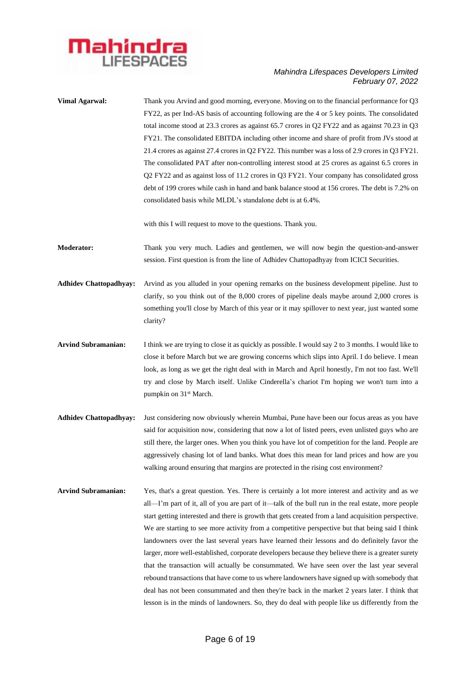

| <b>Vimal Agarwal:</b>         | Thank you Arvind and good morning, everyone. Moving on to the financial performance for Q3<br>FY22, as per Ind-AS basis of accounting following are the 4 or 5 key points. The consolidated<br>total income stood at 23.3 crores as against 65.7 crores in Q2 FY22 and as against 70.23 in Q3<br>FY21. The consolidated EBITDA including other income and share of profit from JVs stood at<br>21.4 crores as against 27.4 crores in Q2 FY22. This number was a loss of 2.9 crores in Q3 FY21.<br>The consolidated PAT after non-controlling interest stood at 25 crores as against 6.5 crores in<br>Q2 FY22 and as against loss of 11.2 crores in Q3 FY21. Your company has consolidated gross<br>debt of 199 crores while cash in hand and bank balance stood at 156 crores. The debt is 7.2% on<br>consolidated basis while MLDL's standalone debt is at 6.4%.                                                                                                                                                         |
|-------------------------------|---------------------------------------------------------------------------------------------------------------------------------------------------------------------------------------------------------------------------------------------------------------------------------------------------------------------------------------------------------------------------------------------------------------------------------------------------------------------------------------------------------------------------------------------------------------------------------------------------------------------------------------------------------------------------------------------------------------------------------------------------------------------------------------------------------------------------------------------------------------------------------------------------------------------------------------------------------------------------------------------------------------------------|
|                               | with this I will request to move to the questions. Thank you.                                                                                                                                                                                                                                                                                                                                                                                                                                                                                                                                                                                                                                                                                                                                                                                                                                                                                                                                                             |
| <b>Moderator:</b>             | Thank you very much. Ladies and gentlemen, we will now begin the question-and-answer<br>session. First question is from the line of Adhidev Chattopadhyay from ICICI Securities.                                                                                                                                                                                                                                                                                                                                                                                                                                                                                                                                                                                                                                                                                                                                                                                                                                          |
| <b>Adhidev Chattopadhyay:</b> | Arvind as you alluded in your opening remarks on the business development pipeline. Just to<br>clarify, so you think out of the 8,000 crores of pipeline deals maybe around 2,000 crores is<br>something you'll close by March of this year or it may spillover to next year, just wanted some<br>clarity?                                                                                                                                                                                                                                                                                                                                                                                                                                                                                                                                                                                                                                                                                                                |
| <b>Arvind Subramanian:</b>    | I think we are trying to close it as quickly as possible. I would say 2 to 3 months. I would like to<br>close it before March but we are growing concerns which slips into April. I do believe. I mean<br>look, as long as we get the right deal with in March and April honestly, I'm not too fast. We'll<br>try and close by March itself. Unlike Cinderella's chariot I'm hoping we won't turn into a<br>pumpkin on 31 <sup>st</sup> March.                                                                                                                                                                                                                                                                                                                                                                                                                                                                                                                                                                            |
| <b>Adhidev Chattopadhyay:</b> | Just considering now obviously wherein Mumbai, Pune have been our focus areas as you have<br>said for acquisition now, considering that now a lot of listed peers, even unlisted guys who are<br>still there, the larger ones. When you think you have lot of competition for the land. People are<br>aggressively chasing lot of land banks. What does this mean for land prices and how are you<br>walking around ensuring that margins are protected in the rising cost environment?                                                                                                                                                                                                                                                                                                                                                                                                                                                                                                                                   |
| <b>Arvind Subramanian:</b>    | Yes, that's a great question. Yes. There is certainly a lot more interest and activity and as we<br>all—I'm part of it, all of you are part of it—talk of the bull run in the real estate, more people<br>start getting interested and there is growth that gets created from a land acquisition perspective.<br>We are starting to see more activity from a competitive perspective but that being said I think<br>landowners over the last several years have learned their lessons and do definitely favor the<br>larger, more well-established, corporate developers because they believe there is a greater surety<br>that the transaction will actually be consummated. We have seen over the last year several<br>rebound transactions that have come to us where landowners have signed up with somebody that<br>deal has not been consummated and then they're back in the market 2 years later. I think that<br>lesson is in the minds of landowners. So, they do deal with people like us differently from the |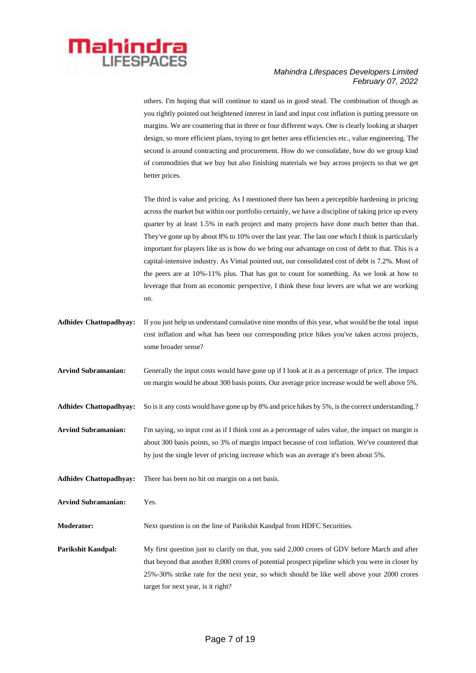

others. I'm hoping that will continue to stand us in good stead. The combination of though as you rightly pointed out heightened interest in land and input cost inflation is putting pressure on margins. We are countering that in three or four different ways. One is clearly looking at sharper design, so more efficient plans, trying to get better area efficiencies etc., value engineering. The second is around contracting and procurement. How do we consolidate, how do we group kind of commodities that we buy but also finishing materials we buy across projects so that we get better prices.

The third is value and pricing. As I mentioned there has been a perceptible hardening in pricing across the market but within our portfolio certainly, we have a discipline of taking price up every quarter by at least 1.5% in each project and many projects have done much better than that. They've gone up by about 8% to 10% over the last year. The last one which I think is particularly important for players like us is how do we bring our advantage on cost of debt to that. This is a capital-intensive industry. As Vimal pointed out, our consolidated cost of debt is 7.2%. Most of the peers are at 10%-11% plus. That has got to count for something. As we look at how to leverage that from an economic perspective, I think these four levers are what we are working on.

- **Adhidev Chattopadhyay:** If you just help us understand cumulative nine months of this year, what would be the total input cost inflation and what has been our corresponding price hikes you've taken across projects, some broader sense?
- **Arvind Subramanian:** Generally the input costs would have gone up if I look at it as a percentage of price. The impact on margin would be about 300 basis points. Our average price increase would be well above 5%.
- Adhidev Chattopadhyay: So is it any costs would have gone up by 8% and price hikes by 5%, is the correct understanding.?

**Arvind Subramanian:** I'm saying, so input cost as if I think cost as a percentage of sales value, the impact on margin is about 300 basis points, so 3% of margin impact because of cost inflation. We've countered that by just the single lever of pricing increase which was an average it's been about 5%.

**Adhidev Chattopadhyay:** There has been no hit on margin on a net basis.

**Arvind Subramanian:** Yes.

**Moderator:** Next question is on the line of Parikshit Kandpal from HDFC Securities.

**Parikshit Kandpal:** My first question just to clarify on that, you said 2,000 crores of GDV before March and after that beyond that another 8,000 crores of potential prospect pipeline which you were in closer by 25%-30% strike rate for the next year, so which should be like well above your 2000 crores target for next year, is it right?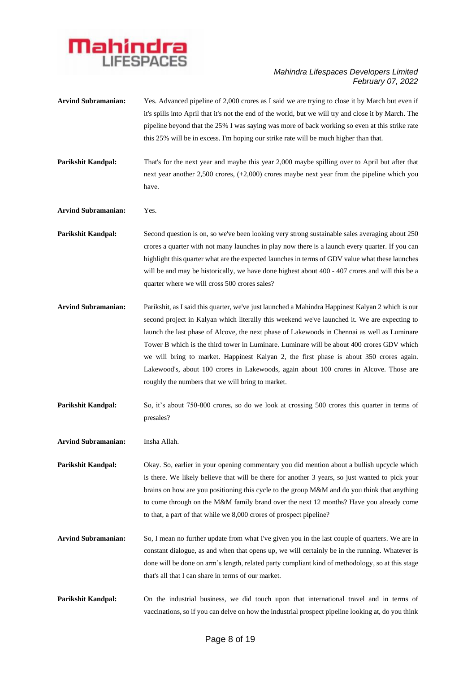

| <b>Arvind Subramanian:</b> | Yes. Advanced pipeline of 2,000 crores as I said we are trying to close it by March but even if<br>it's spills into April that it's not the end of the world, but we will try and close it by March. The<br>pipeline beyond that the 25% I was saying was more of back working so even at this strike rate<br>this 25% will be in excess. I'm hoping our strike rate will be much higher than that.                                                                                                                                                                                                                                     |
|----------------------------|-----------------------------------------------------------------------------------------------------------------------------------------------------------------------------------------------------------------------------------------------------------------------------------------------------------------------------------------------------------------------------------------------------------------------------------------------------------------------------------------------------------------------------------------------------------------------------------------------------------------------------------------|
| Parikshit Kandpal:         | That's for the next year and maybe this year 2,000 maybe spilling over to April but after that<br>next year another $2,500$ crores, $(+2,000)$ crores maybe next year from the pipeline which you<br>have.                                                                                                                                                                                                                                                                                                                                                                                                                              |
| <b>Arvind Subramanian:</b> | Yes.                                                                                                                                                                                                                                                                                                                                                                                                                                                                                                                                                                                                                                    |
| <b>Parikshit Kandpal:</b>  | Second question is on, so we've been looking very strong sustainable sales averaging about 250<br>crores a quarter with not many launches in play now there is a launch every quarter. If you can<br>highlight this quarter what are the expected launches in terms of GDV value what these launches<br>will be and may be historically, we have done highest about 400 - 407 crores and will this be a<br>quarter where we will cross 500 crores sales?                                                                                                                                                                                |
| <b>Arvind Subramanian:</b> | Parikshit, as I said this quarter, we've just launched a Mahindra Happinest Kalyan 2 which is our<br>second project in Kalyan which literally this weekend we've launched it. We are expecting to<br>launch the last phase of Alcove, the next phase of Lakewoods in Chennai as well as Luminare<br>Tower B which is the third tower in Luminare. Luminare will be about 400 crores GDV which<br>we will bring to market. Happinest Kalyan 2, the first phase is about 350 crores again.<br>Lakewood's, about 100 crores in Lakewoods, again about 100 crores in Alcove. Those are<br>roughly the numbers that we will bring to market. |
| Parikshit Kandpal:         | So, it's about 750-800 crores, so do we look at crossing 500 crores this quarter in terms of<br>presales?                                                                                                                                                                                                                                                                                                                                                                                                                                                                                                                               |
| <b>Arvind Subramanian:</b> | Insha Allah.                                                                                                                                                                                                                                                                                                                                                                                                                                                                                                                                                                                                                            |
| <b>Parikshit Kandpal:</b>  | Okay. So, earlier in your opening commentary you did mention about a bullish upcycle which<br>is there. We likely believe that will be there for another 3 years, so just wanted to pick your<br>brains on how are you positioning this cycle to the group M&M and do you think that anything<br>to come through on the M&M family brand over the next 12 months? Have you already come<br>to that, a part of that while we 8,000 crores of prospect pipeline?                                                                                                                                                                          |
| <b>Arvind Subramanian:</b> | So, I mean no further update from what I've given you in the last couple of quarters. We are in<br>constant dialogue, as and when that opens up, we will certainly be in the running. Whatever is<br>done will be done on arm's length, related party compliant kind of methodology, so at this stage<br>that's all that I can share in terms of our market.                                                                                                                                                                                                                                                                            |
| Parikshit Kandpal:         | On the industrial business, we did touch upon that international travel and in terms of<br>vaccinations, so if you can delve on how the industrial prospect pipeline looking at, do you think                                                                                                                                                                                                                                                                                                                                                                                                                                           |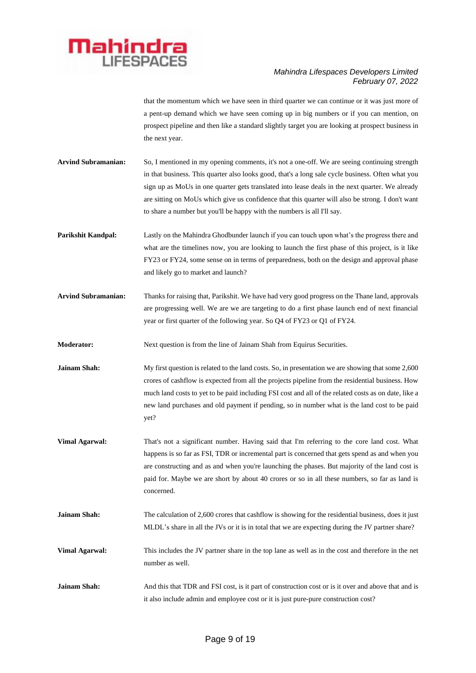

that the momentum which we have seen in third quarter we can continue or it was just more of a pent-up demand which we have seen coming up in big numbers or if you can mention, on prospect pipeline and then like a standard slightly target you are looking at prospect business in the next year.

- **Arvind Subramanian:** So, I mentioned in my opening comments, it's not a one-off. We are seeing continuing strength in that business. This quarter also looks good, that's a long sale cycle business. Often what you sign up as MoUs in one quarter gets translated into lease deals in the next quarter. We already are sitting on MoUs which give us confidence that this quarter will also be strong. I don't want to share a number but you'll be happy with the numbers is all I'll say.
- **Parikshit Kandpal:** Lastly on the Mahindra Ghodbunder launch if you can touch upon what's the progress there and what are the timelines now, you are looking to launch the first phase of this project, is it like FY23 or FY24, some sense on in terms of preparedness, both on the design and approval phase and likely go to market and launch?
- **Arvind Subramanian:** Thanks for raising that, Parikshit. We have had very good progress on the Thane land, approvals are progressing well. We are we are targeting to do a first phase launch end of next financial year or first quarter of the following year. So Q4 of FY23 or Q1 of FY24.
- **Moderator:** Next question is from the line of Jainam Shah from Equirus Securities.
- **Jainam Shah:** My first question is related to the land costs. So, in presentation we are showing that some 2,600 crores of cashflow is expected from all the projects pipeline from the residential business. How much land costs to yet to be paid including FSI cost and all of the related costs as on date, like a new land purchases and old payment if pending, so in number what is the land cost to be paid yet?
- **Vimal Agarwal:** That's not a significant number. Having said that I'm referring to the core land cost. What happens is so far as FSI, TDR or incremental part is concerned that gets spend as and when you are constructing and as and when you're launching the phases. But majority of the land cost is paid for. Maybe we are short by about 40 crores or so in all these numbers, so far as land is concerned.
- **Jainam Shah:** The calculation of 2,600 crores that cashflow is showing for the residential business, does it just MLDL's share in all the JVs or it is in total that we are expecting during the JV partner share?
- **Vimal Agarwal:** This includes the JV partner share in the top lane as well as in the cost and therefore in the net number as well.
- **Jainam Shah:** And this that TDR and FSI cost, is it part of construction cost or is it over and above that and is it also include admin and employee cost or it is just pure-pure construction cost?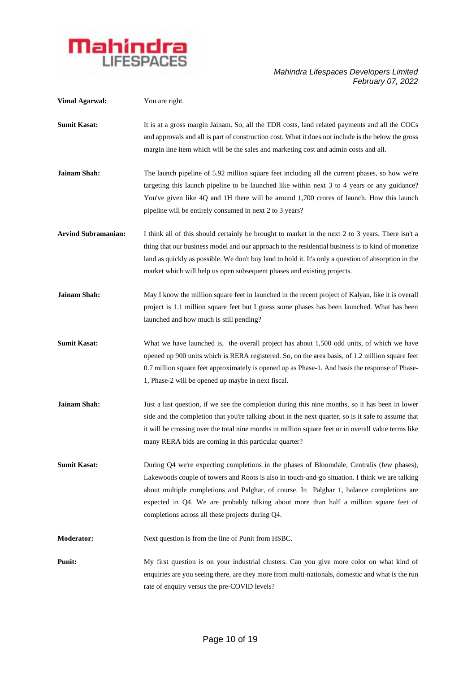

| <b>Vimal Agarwal:</b>      | You are right.                                                                                                                                                                                                                                                                                                                                                                                                                       |
|----------------------------|--------------------------------------------------------------------------------------------------------------------------------------------------------------------------------------------------------------------------------------------------------------------------------------------------------------------------------------------------------------------------------------------------------------------------------------|
| <b>Sumit Kasat:</b>        | It is at a gross margin Jainam. So, all the TDR costs, land related payments and all the COCs<br>and approvals and all is part of construction cost. What it does not include is the below the gross<br>margin line item which will be the sales and marketing cost and admin costs and all.                                                                                                                                         |
| Jainam Shah:               | The launch pipeline of 5.92 million square feet including all the current phases, so how we're<br>targeting this launch pipeline to be launched like within next 3 to 4 years or any guidance?<br>You've given like 4Q and 1H there will be around 1,700 crores of launch. How this launch<br>pipeline will be entirely consumed in next 2 to 3 years?                                                                               |
| <b>Arvind Subramanian:</b> | I think all of this should certainly be brought to market in the next 2 to 3 years. There isn't a<br>thing that our business model and our approach to the residential business is to kind of monetize<br>land as quickly as possible. We don't buy land to hold it. It's only a question of absorption in the<br>market which will help us open subsequent phases and existing projects.                                            |
| Jainam Shah:               | May I know the million square feet in launched in the recent project of Kalyan, like it is overall<br>project is 1.1 million square feet but I guess some phases has been launched. What has been<br>launched and how much is still pending?                                                                                                                                                                                         |
| <b>Sumit Kasat:</b>        | What we have launched is, the overall project has about 1,500 odd units, of which we have<br>opened up 900 units which is RERA registered. So, on the area basis, of 1.2 million square feet<br>0.7 million square feet approximately is opened up as Phase-1. And basis the response of Phase-<br>1, Phase-2 will be opened up maybe in next fiscal.                                                                                |
| Jainam Shah:               | Just a last question, if we see the completion during this nine months, so it has been in lower<br>side and the completion that you're talking about in the next quarter, so is it safe to assume that<br>it will be crossing over the total nine months in million square feet or in overall value terms like<br>many RERA bids are coming in this particular quarter?                                                              |
| <b>Sumit Kasat:</b>        | During Q4 we're expecting completions in the phases of Bloomdale, Centralis (few phases),<br>Lakewoods couple of towers and Roots is also in touch-and-go situation. I think we are talking<br>about multiple completions and Palghar, of course. In Palghar 1, balance completions are<br>expected in Q4. We are probably talking about more than half a million square feet of<br>completions across all these projects during Q4. |
| <b>Moderator:</b>          | Next question is from the line of Punit from HSBC.                                                                                                                                                                                                                                                                                                                                                                                   |
| <b>Punit:</b>              | My first question is on your industrial clusters. Can you give more color on what kind of<br>enquiries are you seeing there, are they more from multi-nationals, domestic and what is the run<br>rate of enquiry versus the pre-COVID levels?                                                                                                                                                                                        |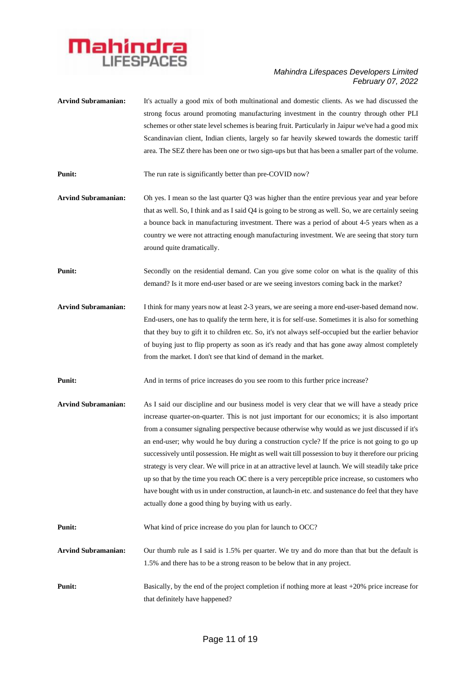

| <b>Arvind Subramanian:</b> | It's actually a good mix of both multinational and domestic clients. As we had discussed the<br>strong focus around promoting manufacturing investment in the country through other PLI<br>schemes or other state level schemes is bearing fruit. Particularly in Jaipur we've had a good mix<br>Scandinavian client, Indian clients, largely so far heavily skewed towards the domestic tariff<br>area. The SEZ there has been one or two sign-ups but that has been a smaller part of the volume.                                                                                                                                                                                                                                                                                                                                                                                     |
|----------------------------|-----------------------------------------------------------------------------------------------------------------------------------------------------------------------------------------------------------------------------------------------------------------------------------------------------------------------------------------------------------------------------------------------------------------------------------------------------------------------------------------------------------------------------------------------------------------------------------------------------------------------------------------------------------------------------------------------------------------------------------------------------------------------------------------------------------------------------------------------------------------------------------------|
| <b>Punit:</b>              | The run rate is significantly better than pre-COVID now?                                                                                                                                                                                                                                                                                                                                                                                                                                                                                                                                                                                                                                                                                                                                                                                                                                |
| <b>Arvind Subramanian:</b> | Oh yes. I mean so the last quarter Q3 was higher than the entire previous year and year before<br>that as well. So, I think and as I said Q4 is going to be strong as well. So, we are certainly seeing<br>a bounce back in manufacturing investment. There was a period of about 4-5 years when as a<br>country we were not attracting enough manufacturing investment. We are seeing that story turn<br>around quite dramatically.                                                                                                                                                                                                                                                                                                                                                                                                                                                    |
| Punit:                     | Secondly on the residential demand. Can you give some color on what is the quality of this<br>demand? Is it more end-user based or are we seeing investors coming back in the market?                                                                                                                                                                                                                                                                                                                                                                                                                                                                                                                                                                                                                                                                                                   |
| <b>Arvind Subramanian:</b> | I think for many years now at least 2-3 years, we are seeing a more end-user-based demand now.<br>End-users, one has to qualify the term here, it is for self-use. Sometimes it is also for something<br>that they buy to gift it to children etc. So, it's not always self-occupied but the earlier behavior<br>of buying just to flip property as soon as it's ready and that has gone away almost completely<br>from the market. I don't see that kind of demand in the market.                                                                                                                                                                                                                                                                                                                                                                                                      |
| Punit:                     | And in terms of price increases do you see room to this further price increase?                                                                                                                                                                                                                                                                                                                                                                                                                                                                                                                                                                                                                                                                                                                                                                                                         |
| <b>Arvind Subramanian:</b> | As I said our discipline and our business model is very clear that we will have a steady price<br>increase quarter-on-quarter. This is not just important for our economics; it is also important<br>from a consumer signaling perspective because otherwise why would as we just discussed if it's<br>an end-user; why would he buy during a construction cycle? If the price is not going to go up<br>successively until possession. He might as well wait till possession to buy it therefore our pricing<br>strategy is very clear. We will price in at an attractive level at launch. We will steadily take price<br>up so that by the time you reach OC there is a very perceptible price increase, so customers who<br>have bought with us in under construction, at launch-in etc. and sustenance do feel that they have<br>actually done a good thing by buying with us early. |
| <b>Punit:</b>              | What kind of price increase do you plan for launch to OCC?                                                                                                                                                                                                                                                                                                                                                                                                                                                                                                                                                                                                                                                                                                                                                                                                                              |
| <b>Arvind Subramanian:</b> | Our thumb rule as I said is 1.5% per quarter. We try and do more than that but the default is<br>1.5% and there has to be a strong reason to be below that in any project.                                                                                                                                                                                                                                                                                                                                                                                                                                                                                                                                                                                                                                                                                                              |
| <b>Punit:</b>              | Basically, by the end of the project completion if nothing more at least $+20\%$ price increase for<br>that definitely have happened?                                                                                                                                                                                                                                                                                                                                                                                                                                                                                                                                                                                                                                                                                                                                                   |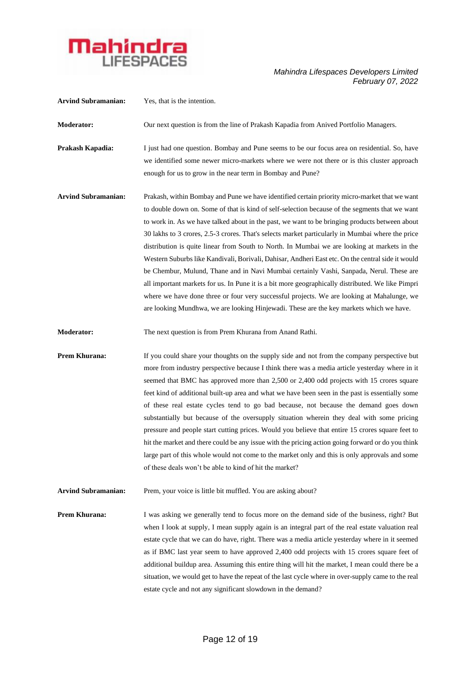

| <b>Arvind Subramanian:</b> | Yes, that is the intention.                                                                                                                                                                                                                                                                                                                                                                                                                                                                                                                                                                                                                                                                                                                                                                                                                                                                                                                                                                         |
|----------------------------|-----------------------------------------------------------------------------------------------------------------------------------------------------------------------------------------------------------------------------------------------------------------------------------------------------------------------------------------------------------------------------------------------------------------------------------------------------------------------------------------------------------------------------------------------------------------------------------------------------------------------------------------------------------------------------------------------------------------------------------------------------------------------------------------------------------------------------------------------------------------------------------------------------------------------------------------------------------------------------------------------------|
| Moderator:                 | Our next question is from the line of Prakash Kapadia from Anived Portfolio Managers.                                                                                                                                                                                                                                                                                                                                                                                                                                                                                                                                                                                                                                                                                                                                                                                                                                                                                                               |
| Prakash Kapadia:           | I just had one question. Bombay and Pune seems to be our focus area on residential. So, have<br>we identified some newer micro-markets where we were not there or is this cluster approach<br>enough for us to grow in the near term in Bombay and Pune?                                                                                                                                                                                                                                                                                                                                                                                                                                                                                                                                                                                                                                                                                                                                            |
| <b>Arvind Subramanian:</b> | Prakash, within Bombay and Pune we have identified certain priority micro-market that we want<br>to double down on. Some of that is kind of self-selection because of the segments that we want<br>to work in. As we have talked about in the past, we want to be bringing products between about<br>30 lakhs to 3 crores, 2.5-3 crores. That's selects market particularly in Mumbai where the price<br>distribution is quite linear from South to North. In Mumbai we are looking at markets in the<br>Western Suburbs like Kandivali, Borivali, Dahisar, Andheri East etc. On the central side it would<br>be Chembur, Mulund, Thane and in Navi Mumbai certainly Vashi, Sanpada, Nerul. These are<br>all important markets for us. In Pune it is a bit more geographically distributed. We like Pimpri<br>where we have done three or four very successful projects. We are looking at Mahalunge, we<br>are looking Mundhwa, we are looking Hinjewadi. These are the key markets which we have. |
| <b>Moderator:</b>          | The next question is from Prem Khurana from Anand Rathi.                                                                                                                                                                                                                                                                                                                                                                                                                                                                                                                                                                                                                                                                                                                                                                                                                                                                                                                                            |
| Prem Khurana:              | If you could share your thoughts on the supply side and not from the company perspective but<br>more from industry perspective because I think there was a media article yesterday where in it<br>seemed that BMC has approved more than 2,500 or 2,400 odd projects with 15 crores square<br>feet kind of additional built-up area and what we have been seen in the past is essentially some<br>of these real estate cycles tend to go bad because, not because the demand goes down<br>substantially but because of the oversupply situation wherein they deal with some pricing<br>pressure and people start cutting prices. Would you believe that entire 15 crores square feet to<br>hit the market and there could be any issue with the pricing action going forward or do you think<br>large part of this whole would not come to the market only and this is only approvals and some<br>of these deals won't be able to kind of hit the market?                                           |
| <b>Arvind Subramanian:</b> | Prem, your voice is little bit muffled. You are asking about?                                                                                                                                                                                                                                                                                                                                                                                                                                                                                                                                                                                                                                                                                                                                                                                                                                                                                                                                       |
| Prem Khurana:              | I was asking we generally tend to focus more on the demand side of the business, right? But<br>when I look at supply, I mean supply again is an integral part of the real estate valuation real<br>estate cycle that we can do have, right. There was a media article yesterday where in it seemed<br>as if BMC last year seem to have approved 2,400 odd projects with 15 crores square feet of<br>additional buildup area. Assuming this entire thing will hit the market, I mean could there be a<br>situation, we would get to have the repeat of the last cycle where in over-supply came to the real<br>estate cycle and not any significant slowdown in the demand?                                                                                                                                                                                                                                                                                                                          |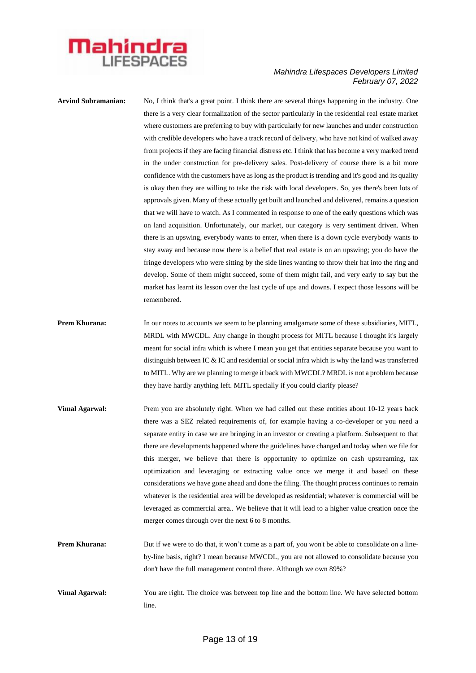

**Arvind Subramanian:** No, I think that's a great point. I think there are several things happening in the industry. One there is a very clear formalization of the sector particularly in the residential real estate market where customers are preferring to buy with particularly for new launches and under construction with credible developers who have a track record of delivery, who have not kind of walked away from projects if they are facing financial distress etc. I think that has become a very marked trend in the under construction for pre-delivery sales. Post-delivery of course there is a bit more confidence with the customers have as long as the product is trending and it's good and its quality is okay then they are willing to take the risk with local developers. So, yes there's been lots of approvals given. Many of these actually get built and launched and delivered, remains a question that we will have to watch. As I commented in response to one of the early questions which was on land acquisition. Unfortunately, our market, our category is very sentiment driven. When there is an upswing, everybody wants to enter, when there is a down cycle everybody wants to stay away and because now there is a belief that real estate is on an upswing; you do have the fringe developers who were sitting by the side lines wanting to throw their hat into the ring and develop. Some of them might succeed, some of them might fail, and very early to say but the market has learnt its lesson over the last cycle of ups and downs. I expect those lessons will be remembered.

- **Prem Khurana:** In our notes to accounts we seem to be planning amalgamate some of these subsidiaries, MITL, MRDL with MWCDL. Any change in thought process for MITL because I thought it's largely meant for social infra which is where I mean you get that entities separate because you want to distinguish between IC & IC and residential or social infra which is why the land was transferred to MITL. Why are we planning to merge it back with MWCDL? MRDL is not a problem because they have hardly anything left. MITL specially if you could clarify please?
- **Vimal Agarwal:** Prem you are absolutely right. When we had called out these entities about 10-12 years back there was a SEZ related requirements of, for example having a co-developer or you need a separate entity in case we are bringing in an investor or creating a platform. Subsequent to that there are developments happened where the guidelines have changed and today when we file for this merger, we believe that there is opportunity to optimize on cash upstreaming, tax optimization and leveraging or extracting value once we merge it and based on these considerations we have gone ahead and done the filing. The thought process continues to remain whatever is the residential area will be developed as residential; whatever is commercial will be leveraged as commercial area.. We believe that it will lead to a higher value creation once the merger comes through over the next 6 to 8 months.
- **Prem Khurana:** But if we were to do that, it won't come as a part of, you won't be able to consolidate on a lineby-line basis, right? I mean because MWCDL, you are not allowed to consolidate because you don't have the full management control there. Although we own 89%?
- **Vimal Agarwal:** You are right. The choice was between top line and the bottom line. We have selected bottom line.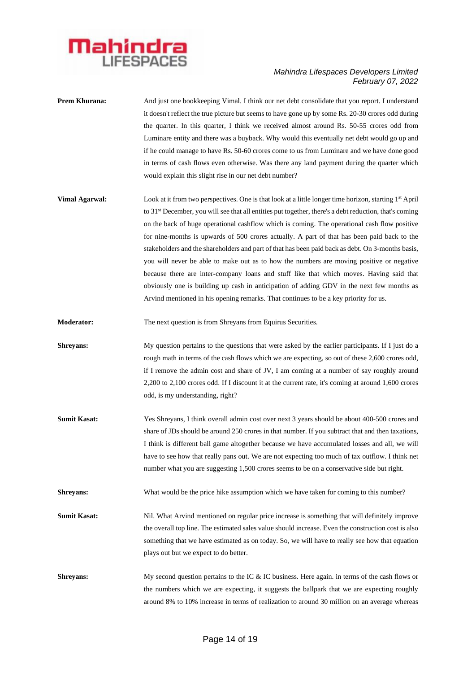

- **Prem Khurana:** And just one bookkeeping Vimal. I think our net debt consolidate that you report. I understand it doesn't reflect the true picture but seems to have gone up by some Rs. 20-30 crores odd during the quarter. In this quarter, I think we received almost around Rs. 50-55 crores odd from Luminare entity and there was a buyback. Why would this eventually net debt would go up and if he could manage to have Rs. 50-60 crores come to us from Luminare and we have done good in terms of cash flows even otherwise. Was there any land payment during the quarter which would explain this slight rise in our net debt number?
- **Vimal Agarwal:** Look at it from two perspectives. One is that look at a little longer time horizon, starting 1<sup>st</sup> April to 31st December, you will see that all entities put together, there's a debt reduction, that's coming on the back of huge operational cashflow which is coming. The operational cash flow positive for nine-months is upwards of 500 crores actually. A part of that has been paid back to the stakeholders and the shareholders and part of that has been paid back as debt. On 3-months basis, you will never be able to make out as to how the numbers are moving positive or negative because there are inter-company loans and stuff like that which moves. Having said that obviously one is building up cash in anticipation of adding GDV in the next few months as Arvind mentioned in his opening remarks. That continues to be a key priority for us.
- **Moderator:** The next question is from Shreyans from Equirus Securities.
- **Shreyans:** My question pertains to the questions that were asked by the earlier participants. If I just do a rough math in terms of the cash flows which we are expecting, so out of these 2,600 crores odd, if I remove the admin cost and share of JV, I am coming at a number of say roughly around 2,200 to 2,100 crores odd. If I discount it at the current rate, it's coming at around 1,600 crores odd, is my understanding, right?
- **Sumit Kasat:** Yes Shreyans, I think overall admin cost over next 3 years should be about 400-500 crores and share of JDs should be around 250 crores in that number. If you subtract that and then taxations, I think is different ball game altogether because we have accumulated losses and all, we will have to see how that really pans out. We are not expecting too much of tax outflow. I think net number what you are suggesting 1,500 crores seems to be on a conservative side but right.
- **Shreyans:** What would be the price hike assumption which we have taken for coming to this number?
- **Sumit Kasat:** Nil. What Arvind mentioned on regular price increase is something that will definitely improve the overall top line. The estimated sales value should increase. Even the construction cost is also something that we have estimated as on today. So, we will have to really see how that equation plays out but we expect to do better.
- **Shreyans:** My second question pertains to the IC & IC business. Here again. in terms of the cash flows or the numbers which we are expecting, it suggests the ballpark that we are expecting roughly around 8% to 10% increase in terms of realization to around 30 million on an average whereas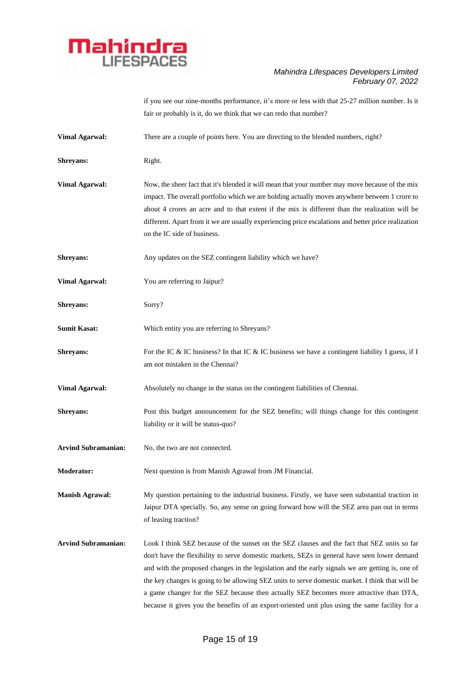

if you see our nine-months performance, it's more or less with that 25-27 million number. Is it fair or probably is it, do we think that we can redo that number?

| <b>Vimal Agarwal:</b>      | There are a couple of points here. You are directing to the blended numbers, right?                                                                                                                                                                                                                                                                                                                                                                                                                                                                                                               |
|----------------------------|---------------------------------------------------------------------------------------------------------------------------------------------------------------------------------------------------------------------------------------------------------------------------------------------------------------------------------------------------------------------------------------------------------------------------------------------------------------------------------------------------------------------------------------------------------------------------------------------------|
| Shreyans:                  | Right.                                                                                                                                                                                                                                                                                                                                                                                                                                                                                                                                                                                            |
| <b>Vimal Agarwal:</b>      | Now, the sheer fact that it's blended it will mean that your number may move because of the mix<br>impact. The overall portfolio which we are holding actually moves anywhere between 1 crore to<br>about 4 crores an acre and to that extent if the mix is different than the realization will be<br>different. Apart from it we are usually experiencing price escalations and better price realization<br>on the IC side of business.                                                                                                                                                          |
| Shreyans:                  | Any updates on the SEZ contingent liability which we have?                                                                                                                                                                                                                                                                                                                                                                                                                                                                                                                                        |
| <b>Vimal Agarwal:</b>      | You are referring to Jaipur?                                                                                                                                                                                                                                                                                                                                                                                                                                                                                                                                                                      |
| Shreyans:                  | Sorry?                                                                                                                                                                                                                                                                                                                                                                                                                                                                                                                                                                                            |
| <b>Sumit Kasat:</b>        | Which entity you are referring to Shreyans?                                                                                                                                                                                                                                                                                                                                                                                                                                                                                                                                                       |
| Shreyans:                  | For the IC & IC business? In that IC & IC business we have a contingent liability I guess, if I<br>am not mistaken in the Chennai?                                                                                                                                                                                                                                                                                                                                                                                                                                                                |
| <b>Vimal Agarwal:</b>      | Absolutely no change in the status on the contingent liabilities of Chennai.                                                                                                                                                                                                                                                                                                                                                                                                                                                                                                                      |
| Shreyans:                  | Post this budget announcement for the SEZ benefits; will things change for this contingent<br>liability or it will be status-quo?                                                                                                                                                                                                                                                                                                                                                                                                                                                                 |
| <b>Arvind Subramanian:</b> | No, the two are not connected.                                                                                                                                                                                                                                                                                                                                                                                                                                                                                                                                                                    |
| <b>Moderator:</b>          | Next question is from Manish Agrawal from JM Financial.                                                                                                                                                                                                                                                                                                                                                                                                                                                                                                                                           |
| <b>Manish Agrawal:</b>     | My question pertaining to the industrial business. Firstly, we have seen substantial traction in<br>Jaipur DTA specially. So, any sense on going forward how will the SEZ area pan out in terms<br>of leasing traction?                                                                                                                                                                                                                                                                                                                                                                           |
| <b>Arvind Subramanian:</b> | Look I think SEZ because of the sunset on the SEZ clauses and the fact that SEZ units so far<br>don't have the flexibility to serve domestic markets, SEZs in general have seen lower demand<br>and with the proposed changes in the legislation and the early signals we are getting is, one of<br>the key changes is going to be allowing SEZ units to serve domestic market. I think that will be<br>a game changer for the SEZ because then actually SEZ becomes more attractive than DTA,<br>because it gives you the benefits of an export-oriented unit plus using the same facility for a |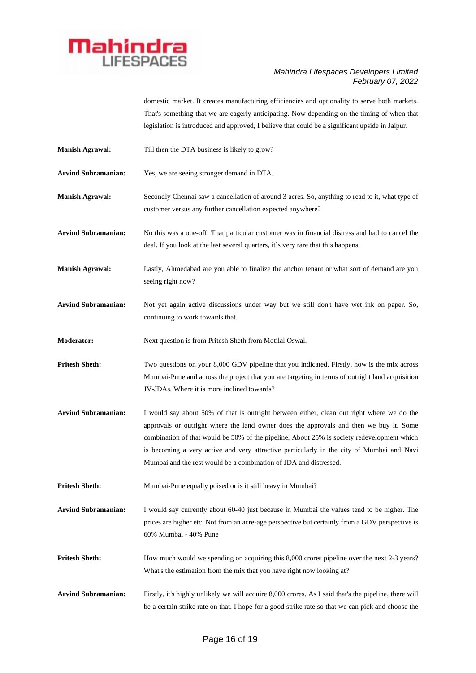

domestic market. It creates manufacturing efficiencies and optionality to serve both markets. That's something that we are eagerly anticipating. Now depending on the timing of when that legislation is introduced and approved, I believe that could be a significant upside in Jaipur.

- **Manish Agrawal:** Till then the DTA business is likely to grow?
- **Arvind Subramanian:** Yes, we are seeing stronger demand in DTA.

**Manish Agrawal:** Secondly Chennai saw a cancellation of around 3 acres. So, anything to read to it, what type of customer versus any further cancellation expected anywhere?

**Arvind Subramanian:** No this was a one-off. That particular customer was in financial distress and had to cancel the deal. If you look at the last several quarters, it's very rare that this happens.

**Manish Agrawal:** Lastly, Ahmedabad are you able to finalize the anchor tenant or what sort of demand are you seeing right now?

**Arvind Subramanian:** Not yet again active discussions under way but we still don't have wet ink on paper. So, continuing to work towards that.

**Moderator:** Next question is from Pritesh Sheth from Motilal Oswal.

**Pritesh Sheth:** Two questions on your 8,000 GDV pipeline that you indicated. Firstly, how is the mix across Mumbai-Pune and across the project that you are targeting in terms of outright land acquisition JV-JDAs. Where it is more inclined towards?

- **Arvind Subramanian:** I would say about 50% of that is outright between either, clean out right where we do the approvals or outright where the land owner does the approvals and then we buy it. Some combination of that would be 50% of the pipeline. About 25% is society redevelopment which is becoming a very active and very attractive particularly in the city of Mumbai and Navi Mumbai and the rest would be a combination of JDA and distressed.
- **Pritesh Sheth:** Mumbai-Pune equally poised or is it still heavy in Mumbai?

**Arvind Subramanian:** I would say currently about 60-40 just because in Mumbai the values tend to be higher. The prices are higher etc. Not from an acre-age perspective but certainly from a GDV perspective is 60% Mumbai - 40% Pune

**Pritesh Sheth:** How much would we spending on acquiring this 8,000 crores pipeline over the next 2-3 years? What's the estimation from the mix that you have right now looking at?

Arvind Subramanian: Firstly, it's highly unlikely we will acquire 8,000 crores. As I said that's the pipeline, there will be a certain strike rate on that. I hope for a good strike rate so that we can pick and choose the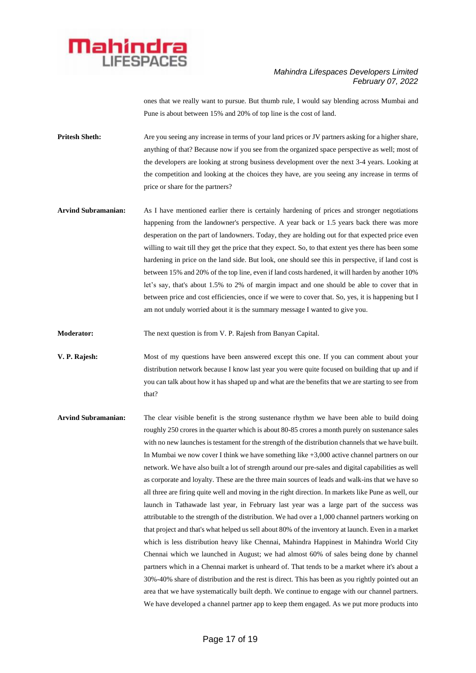

ones that we really want to pursue. But thumb rule, I would say blending across Mumbai and Pune is about between 15% and 20% of top line is the cost of land.

- **Pritesh Sheth:** Are you seeing any increase in terms of your land prices or JV partners asking for a higher share, anything of that? Because now if you see from the organized space perspective as well; most of the developers are looking at strong business development over the next 3-4 years. Looking at the competition and looking at the choices they have, are you seeing any increase in terms of price or share for the partners?
- **Arvind Subramanian:** As I have mentioned earlier there is certainly hardening of prices and stronger negotiations happening from the landowner's perspective. A year back or 1.5 years back there was more desperation on the part of landowners. Today, they are holding out for that expected price even willing to wait till they get the price that they expect. So, to that extent yes there has been some hardening in price on the land side. But look, one should see this in perspective, if land cost is between 15% and 20% of the top line, even if land costs hardened, it will harden by another 10% let's say, that's about 1.5% to 2% of margin impact and one should be able to cover that in between price and cost efficiencies, once if we were to cover that. So, yes, it is happening but I am not unduly worried about it is the summary message I wanted to give you.

**Moderator:** The next question is from V. P. Rajesh from Banyan Capital.

- **V. P. Rajesh:** Most of my questions have been answered except this one. If you can comment about your distribution network because I know last year you were quite focused on building that up and if you can talk about how it has shaped up and what are the benefits that we are starting to see from that?
- **Arvind Subramanian:** The clear visible benefit is the strong sustenance rhythm we have been able to build doing roughly 250 crores in the quarter which is about 80-85 crores a month purely on sustenance sales with no new launches is testament for the strength of the distribution channels that we have built. In Mumbai we now cover I think we have something like +3,000 active channel partners on our network. We have also built a lot of strength around our pre-sales and digital capabilities as well as corporate and loyalty. These are the three main sources of leads and walk-ins that we have so all three are firing quite well and moving in the right direction. In markets like Pune as well, our launch in Tathawade last year, in February last year was a large part of the success was attributable to the strength of the distribution. We had over a 1,000 channel partners working on that project and that's what helped us sell about 80% of the inventory at launch. Even in a market which is less distribution heavy like Chennai, Mahindra Happinest in Mahindra World City Chennai which we launched in August; we had almost 60% of sales being done by channel partners which in a Chennai market is unheard of. That tends to be a market where it's about a 30%-40% share of distribution and the rest is direct. This has been as you rightly pointed out an area that we have systematically built depth. We continue to engage with our channel partners. We have developed a channel partner app to keep them engaged. As we put more products into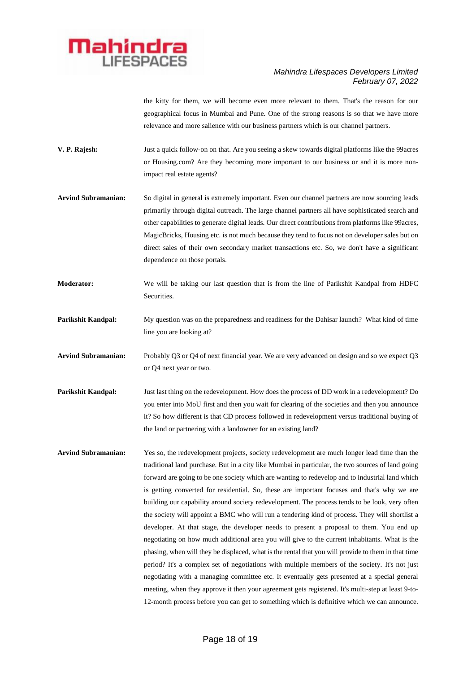

the kitty for them, we will become even more relevant to them. That's the reason for our geographical focus in Mumbai and Pune. One of the strong reasons is so that we have more relevance and more salience with our business partners which is our channel partners.

- **V. P. Rajesh:** Just a quick follow-on on that. Are you seeing a skew towards digital platforms like the 99acres or Housing.com? Are they becoming more important to our business or and it is more nonimpact real estate agents?
- **Arvind Subramanian:** So digital in general is extremely important. Even our channel partners are now sourcing leads primarily through digital outreach. The large channel partners all have sophisticated search and other capabilities to generate digital leads. Our direct contributions from platforms like 99acres, MagicBricks, Housing etc. is not much because they tend to focus not on developer sales but on direct sales of their own secondary market transactions etc. So, we don't have a significant dependence on those portals.
- **Moderator:** We will be taking our last question that is from the line of Parikshit Kandpal from HDFC Securities.
- **Parikshit Kandpal:** My question was on the preparedness and readiness for the Dahisar launch? What kind of time line you are looking at?
- **Arvind Subramanian:** Probably Q3 or Q4 of next financial year. We are very advanced on design and so we expect Q3 or Q4 next year or two.
- **Parikshit Kandpal:** Just last thing on the redevelopment. How does the process of DD work in a redevelopment? Do you enter into MoU first and then you wait for clearing of the societies and then you announce it? So how different is that CD process followed in redevelopment versus traditional buying of the land or partnering with a landowner for an existing land?
- **Arvind Subramanian:** Yes so, the redevelopment projects, society redevelopment are much longer lead time than the traditional land purchase. But in a city like Mumbai in particular, the two sources of land going forward are going to be one society which are wanting to redevelop and to industrial land which is getting converted for residential. So, these are important focuses and that's why we are building our capability around society redevelopment. The process tends to be look, very often the society will appoint a BMC who will run a tendering kind of process. They will shortlist a developer. At that stage, the developer needs to present a proposal to them. You end up negotiating on how much additional area you will give to the current inhabitants. What is the phasing, when will they be displaced, what is the rental that you will provide to them in that time period? It's a complex set of negotiations with multiple members of the society. It's not just negotiating with a managing committee etc. It eventually gets presented at a special general meeting, when they approve it then your agreement gets registered. It's multi-step at least 9-to-12-month process before you can get to something which is definitive which we can announce.